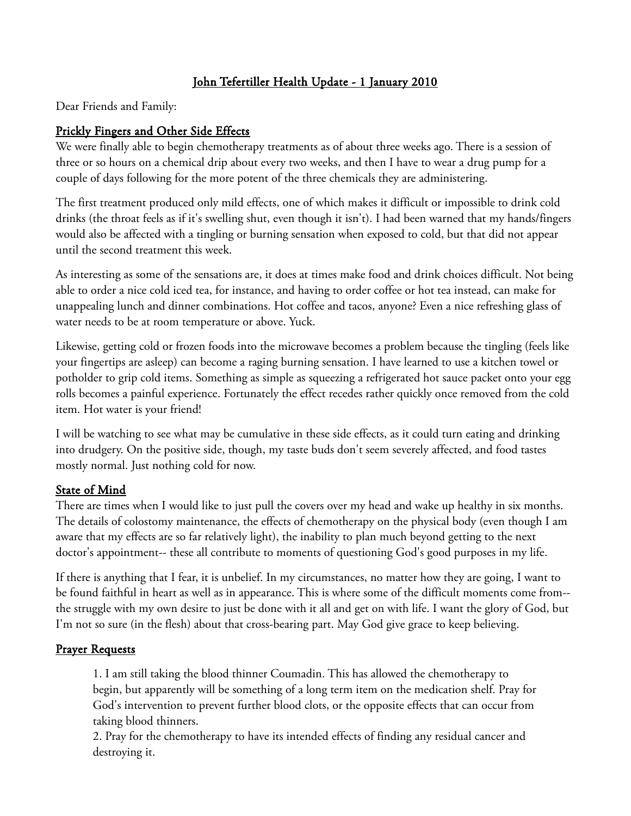# John Tefertiller Health Update - 1 January 2010

Dear Friends and Family:

# Prickly Fingers and Other Side Effects

We were finally able to begin chemotherapy treatments as of about three weeks ago. There is a session of three or so hours on a chemical drip about every two weeks, and then I have to wear a drug pump for a couple of days following for the more potent of the three chemicals they are administering.

The first treatment produced only mild effects, one of which makes it difficult or impossible to drink cold drinks (the throat feels as if it's swelling shut, even though it isn't). I had been warned that my hands/fingers would also be affected with a tingling or burning sensation when exposed to cold, but that did not appear until the second treatment this week.

As interesting as some of the sensations are, it does at times make food and drink choices difficult. Not being able to order a nice cold iced tea, for instance, and having to order coffee or hot tea instead, can make for unappealing lunch and dinner combinations. Hot coffee and tacos, anyone? Even a nice refreshing glass of water needs to be at room temperature or above. Yuck.

Likewise, getting cold or frozen foods into the microwave becomes a problem because the tingling (feels like your fingertips are asleep) can become a raging burning sensation. I have learned to use a kitchen towel or potholder to grip cold items. Something as simple as squeezing a refrigerated hot sauce packet onto your egg rolls becomes a painful experience. Fortunately the effect recedes rather quickly once removed from the cold item. Hot water is your friend!

I will be watching to see what may be cumulative in these side effects, as it could turn eating and drinking into drudgery. On the positive side, though, my taste buds don't seem severely affected, and food tastes mostly normal. Just nothing cold for now.

## State of Mind

There are times when I would like to just pull the covers over my head and wake up healthy in six months. The details of colostomy maintenance, the effects of chemotherapy on the physical body (even though I am aware that my effects are so far relatively light), the inability to plan much beyond getting to the next doctor's appointment-- these all contribute to moments of questioning God's good purposes in my life.

If there is anything that I fear, it is unbelief. In my circumstances, no matter how they are going, I want to be found faithful in heart as well as in appearance. This is where some of the difficult moments come from- the struggle with my own desire to just be done with it all and get on with life. I want the glory of God, but I'm not so sure (in the flesh) about that cross-bearing part. May God give grace to keep believing.

#### Prayer Requests

1. I am still taking the blood thinner Coumadin. This has allowed the chemotherapy to begin, but apparently will be something of a long term item on the medication shelf. Pray for God's intervention to prevent further blood clots, or the opposite effects that can occur from taking blood thinners.

2. Pray for the chemotherapy to have its intended effects of finding any residual cancer and destroying it.